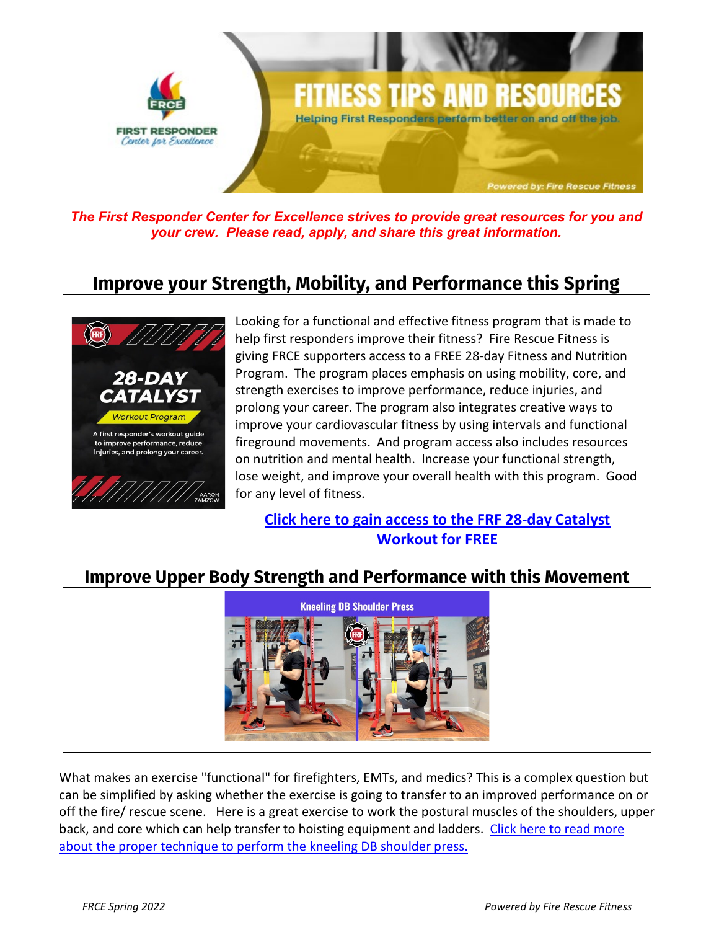

*The First Responder Center for Excellence strives to provide great resources for you and your crew. Please read, apply, and share this great information.* 

### **Improve your Strength, Mobility, and Performance this Spring**



Looking for a functional and effective fitness program that is made to help first responders improve their fitness? Fire Rescue Fitness is giving FRCE supporters access to a FREE 28-day Fitness and Nutrition Program. The program places emphasis on using mobility, core, and strength exercises to improve performance, reduce injuries, and prolong your career. The program also integrates creative ways to improve your cardiovascular fitness by using intervals and functional fireground movements. And program access also includes resources on nutrition and mental health. Increase your functional strength, lose weight, and improve your overall health with this program. Good for any level of fitness.

**[Click here to gain access to the FRF 28-day Catalyst](https://firerescuefitness.com/28-day-catalyst-program/)  [Workout for FREE](https://firerescuefitness.com/28-day-catalyst-program/)**

### **Improve Upper Body Strength and Performance with this Movement**



What makes an exercise "functional" for firefighters, EMTs, and medics? This is a complex question but can be simplified by asking whether the exercise is going to transfer to an improved performance on or off the fire/ rescue scene. Here is a great exercise to work the postural muscles of the shoulders, upper back, and core which can help transfer to hoisting equipment and ladders. Click [here to read more](https://firerescuefitness.com/2022/04/improve-upper-body-strength-and-performance-with-this-movement/)  [about the proper technique to perform the kneeling DB shoulder press.](https://firerescuefitness.com/2022/04/improve-upper-body-strength-and-performance-with-this-movement/)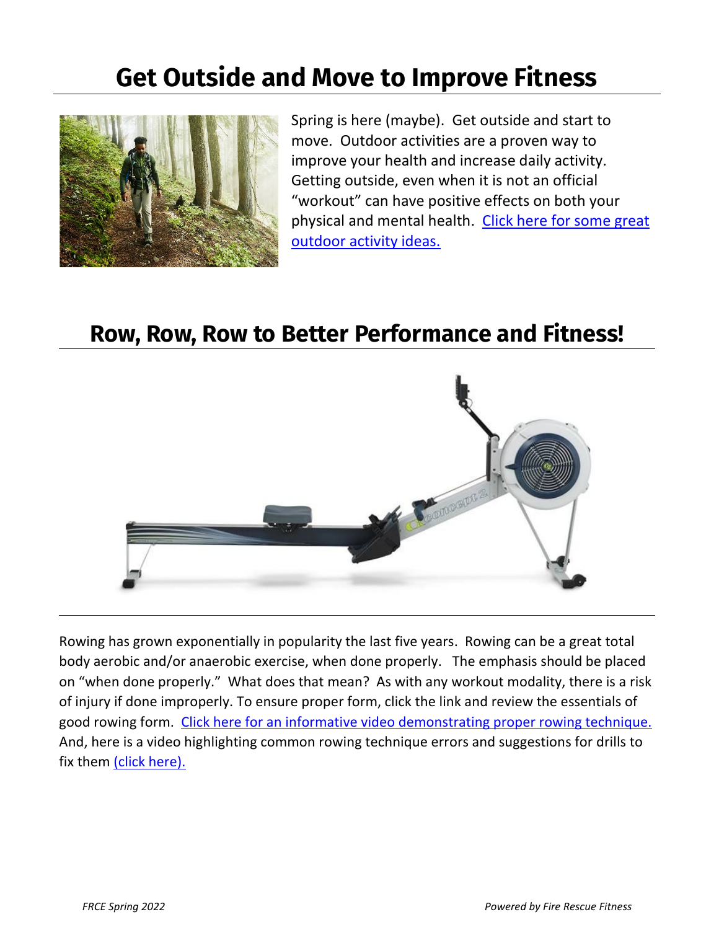# **Get Outside and Move to Improve Fitness**



Spring is here (maybe). Get outside and start to move. Outdoor activities are a proven way to improve your health and increase daily activity. Getting outside, even when it is not an official "workout" can have positive effects on both your physical and mental health. [Click here for some great](https://www.self.com/story/safe-outdoor-activities-coronavirus)  [outdoor activity ideas.](https://www.self.com/story/safe-outdoor-activities-coronavirus) 

### **Row, Row, Row to Better Performance and Fitness!**



Rowing has grown exponentially in popularity the last five years. Rowing can be a great total body aerobic and/or anaerobic exercise, when done properly. The emphasis should be placed on "when done properly." What does that mean? As with any workout modality, there is a risk of injury if done improperly. To ensure proper form, click the link and review the essentials of good rowing form. [Click here for an informative video demonstrating proper rowing technique.](https://www.concept2.com/indoor-rowers/training/technique-videos)  And, here is a video highlighting common rowing technique errors and suggestions for drills to fix them [\(click here\).](https://www.concept2.com/indoor-rowers/training/technique-videos/common-errors)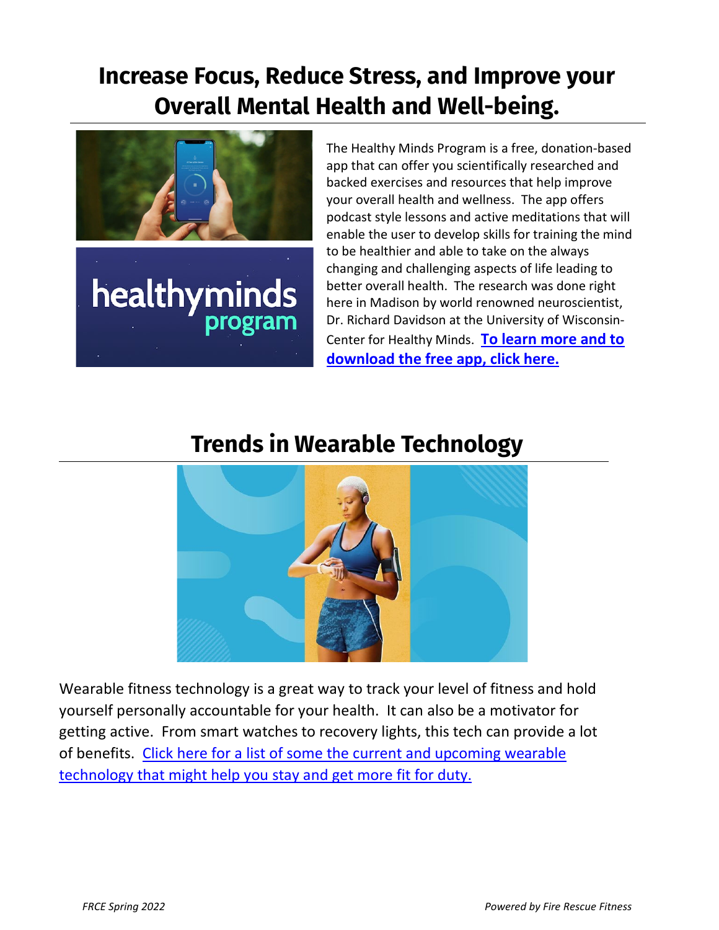## **Increase Focus, Reduce Stress, and Improve your Overall Mental Health and Well-being.**



healthyminds program

The Healthy Minds Program is a free, donation-based app that can offer you scientifically researched and backed exercises and resources that help improve your overall health and wellness. The app offers podcast style lessons and active meditations that will enable the user to develop skills for training the mind to be healthier and able to take on the always changing and challenging aspects of life leading to better overall health. The research was done right here in Madison by world renowned neuroscientist, Dr. Richard Davidson at the University of Wisconsin-Center for Healthy Minds. **[To learn more and to](https://hminnovations.org/meditation-app)  [download the free app, click here.](https://hminnovations.org/meditation-app)**

## **Trends in Wearable Technology**



Wearable fitness technology is a great way to track your level of fitness and hold yourself personally accountable for your health. It can also be a motivator for getting active. From smart watches to recovery lights, this tech can provide a lot of benefits. Click here for a list of some the current and upcoming wearable technology that might help you stay and get more fit for duty.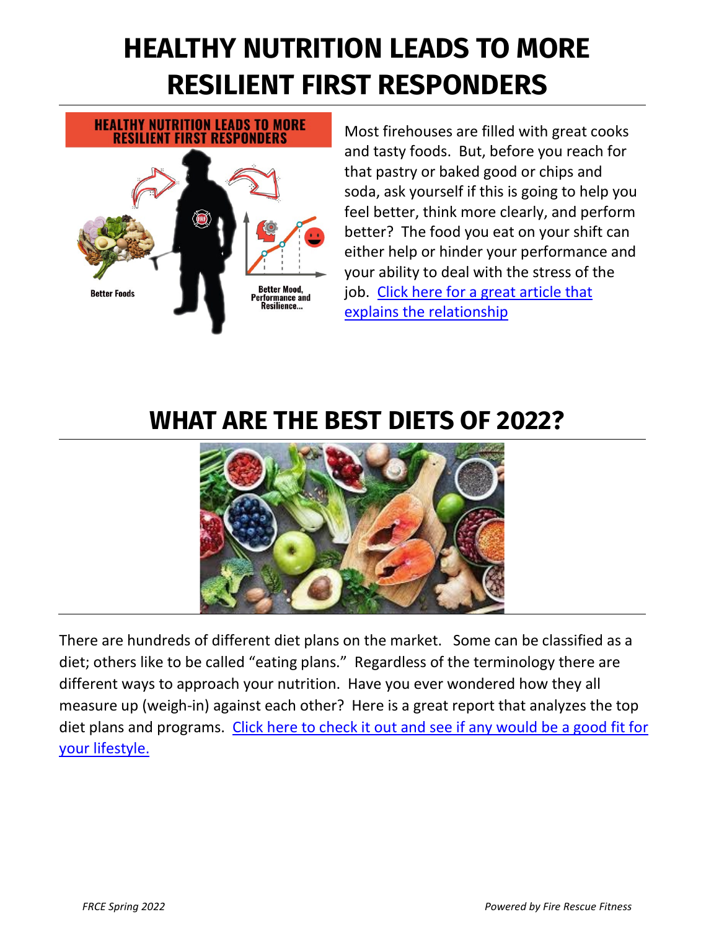# **HEALTHY NUTRITION LEADS TO MORE RESILIENT FIRST RESPONDERS**

# **HEALTHY NUTRITION LEADS TO MORE RESILIENT FIRST RESPONDERS**



Most firehouses are filled with great cooks and tasty foods. But, before you reach for that pastry or baked good or chips and soda, ask yourself if this is going to help you feel better, think more clearly, and perform better? The food you eat on your shift can either help or hinder your performance and your ability to deal with the stress of the job. [Click here for a great article that](https://firerescuefitness.com/2020/10/healthy-nutrition-leads-to-more-resilient-first-responders/)  [explains the relationship](https://firerescuefitness.com/2020/10/healthy-nutrition-leads-to-more-resilient-first-responders/) 

# **WHAT ARE THE BEST DIETS OF 2022?**



There are hundreds of different diet plans on the market. Some can be classified as a diet; others like to be called "eating plans." Regardless of the terminology there are different ways to approach your nutrition. Have you ever wondered how they all measure up (weigh-in) against each other? Here is a great report that analyzes the top diet plans and programs. [Click here to check it out and see if any would be a good fit for](https://health.usnews.com/best-diet/best-diets-overall)  [your lifestyle.](https://health.usnews.com/best-diet/best-diets-overall)